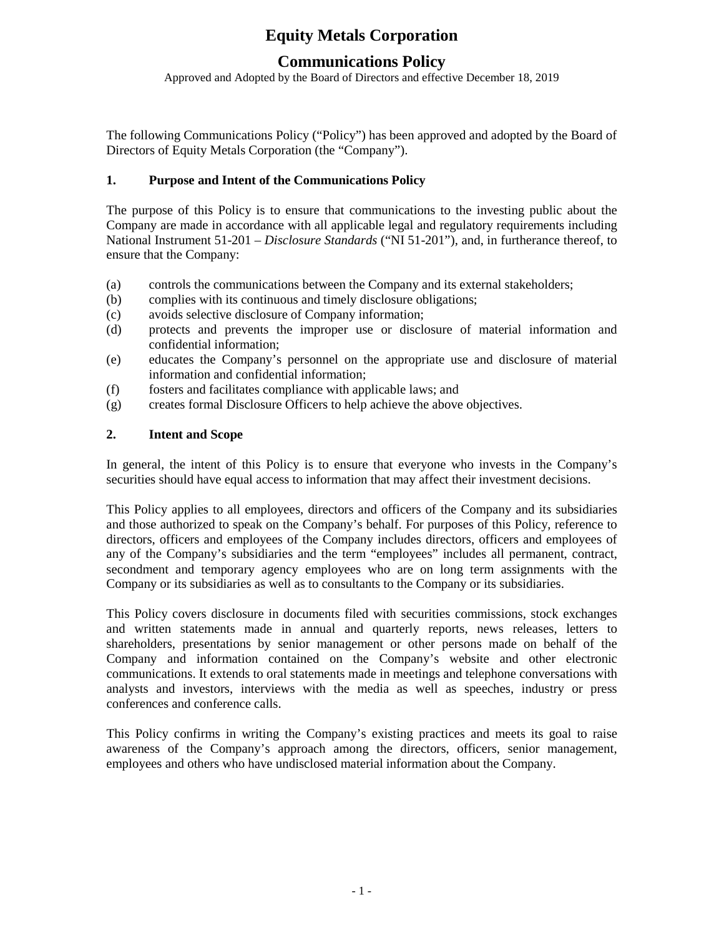## **Communications Policy**

Approved and Adopted by the Board of Directors and effective December 18, 2019

The following Communications Policy ("Policy") has been approved and adopted by the Board of Directors of Equity Metals Corporation (the "Company").

## **1. Purpose and Intent of the Communications Policy**

The purpose of this Policy is to ensure that communications to the investing public about the Company are made in accordance with all applicable legal and regulatory requirements including National Instrument 51-201 – *Disclosure Standards* ("NI 51-201"), and, in furtherance thereof, to ensure that the Company:

- (a) controls the communications between the Company and its external stakeholders;
- (b) complies with its continuous and timely disclosure obligations;
- (c) avoids selective disclosure of Company information;
- (d) protects and prevents the improper use or disclosure of material information and confidential information;
- (e) educates the Company's personnel on the appropriate use and disclosure of material information and confidential information;
- (f) fosters and facilitates compliance with applicable laws; and
- (g) creates formal Disclosure Officers to help achieve the above objectives.

## **2. Intent and Scope**

In general, the intent of this Policy is to ensure that everyone who invests in the Company's securities should have equal access to information that may affect their investment decisions.

This Policy applies to all employees, directors and officers of the Company and its subsidiaries and those authorized to speak on the Company's behalf. For purposes of this Policy, reference to directors, officers and employees of the Company includes directors, officers and employees of any of the Company's subsidiaries and the term "employees" includes all permanent, contract, secondment and temporary agency employees who are on long term assignments with the Company or its subsidiaries as well as to consultants to the Company or its subsidiaries.

This Policy covers disclosure in documents filed with securities commissions, stock exchanges and written statements made in annual and quarterly reports, news releases, letters to shareholders, presentations by senior management or other persons made on behalf of the Company and information contained on the Company's website and other electronic communications. It extends to oral statements made in meetings and telephone conversations with analysts and investors, interviews with the media as well as speeches, industry or press conferences and conference calls.

This Policy confirms in writing the Company's existing practices and meets its goal to raise awareness of the Company's approach among the directors, officers, senior management, employees and others who have undisclosed material information about the Company.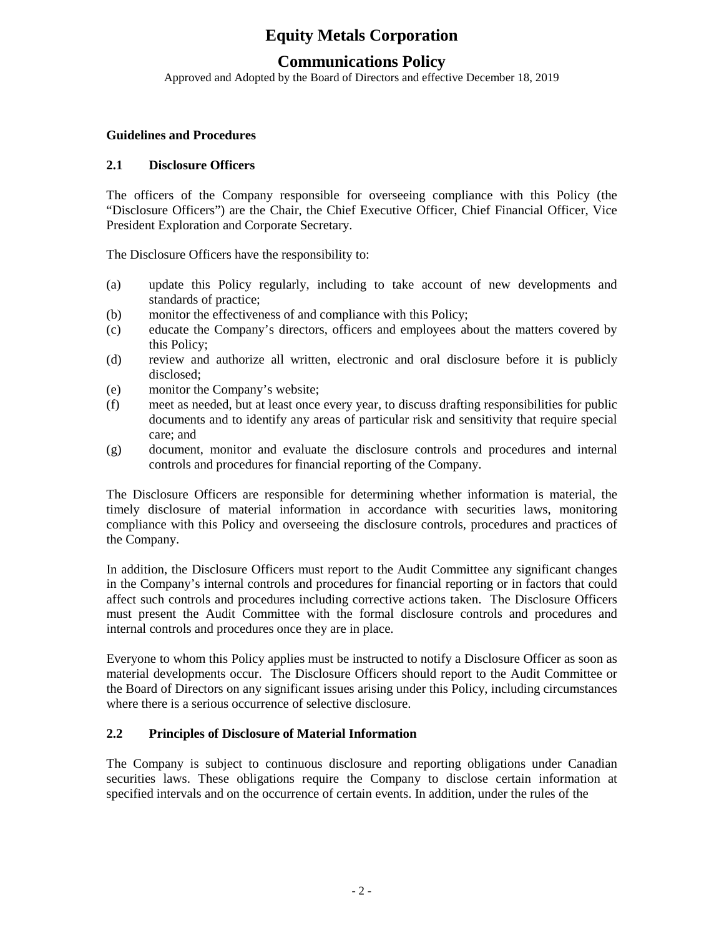## **Communications Policy**

Approved and Adopted by the Board of Directors and effective December 18, 2019

#### **Guidelines and Procedures**

## **2.1 Disclosure Officers**

The officers of the Company responsible for overseeing compliance with this Policy (the "Disclosure Officers") are the Chair, the Chief Executive Officer, Chief Financial Officer, Vice President Exploration and Corporate Secretary.

The Disclosure Officers have the responsibility to:

- (a) update this Policy regularly, including to take account of new developments and standards of practice;
- (b) monitor the effectiveness of and compliance with this Policy;
- (c) educate the Company's directors, officers and employees about the matters covered by this Policy;
- (d) review and authorize all written, electronic and oral disclosure before it is publicly disclosed;
- (e) monitor the Company's website;
- (f) meet as needed, but at least once every year, to discuss drafting responsibilities for public documents and to identify any areas of particular risk and sensitivity that require special care; and
- (g) document, monitor and evaluate the disclosure controls and procedures and internal controls and procedures for financial reporting of the Company.

The Disclosure Officers are responsible for determining whether information is material, the timely disclosure of material information in accordance with securities laws, monitoring compliance with this Policy and overseeing the disclosure controls, procedures and practices of the Company.

In addition, the Disclosure Officers must report to the Audit Committee any significant changes in the Company's internal controls and procedures for financial reporting or in factors that could affect such controls and procedures including corrective actions taken. The Disclosure Officers must present the Audit Committee with the formal disclosure controls and procedures and internal controls and procedures once they are in place.

Everyone to whom this Policy applies must be instructed to notify a Disclosure Officer as soon as material developments occur. The Disclosure Officers should report to the Audit Committee or the Board of Directors on any significant issues arising under this Policy, including circumstances where there is a serious occurrence of selective disclosure.

#### **2.2 Principles of Disclosure of Material Information**

The Company is subject to continuous disclosure and reporting obligations under Canadian securities laws. These obligations require the Company to disclose certain information at specified intervals and on the occurrence of certain events. In addition, under the rules of the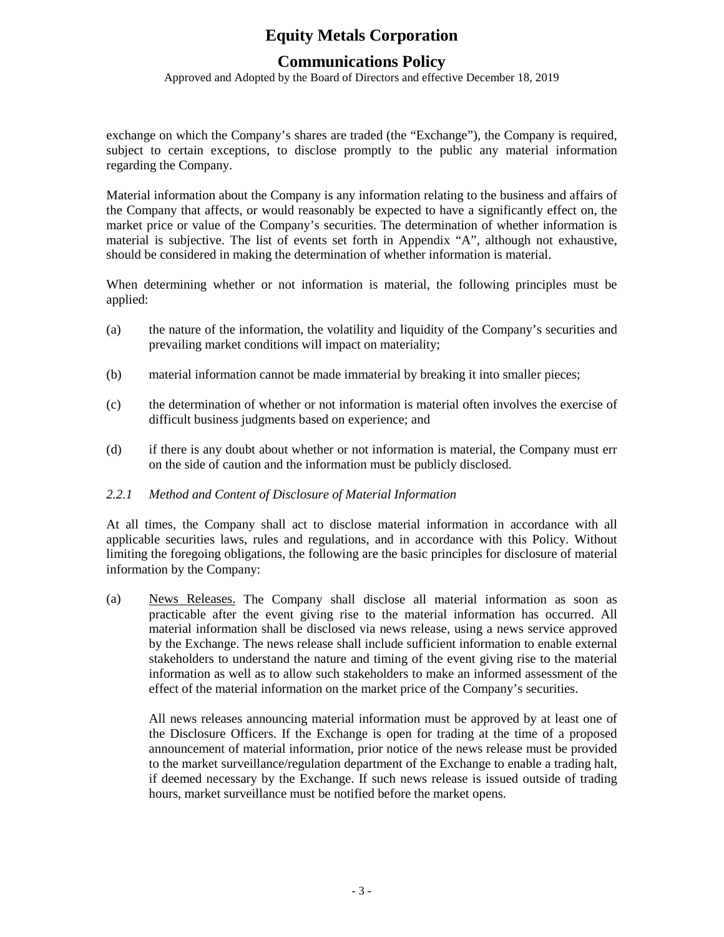## **Communications Policy**

Approved and Adopted by the Board of Directors and effective December 18, 2019

exchange on which the Company's shares are traded (the "Exchange"), the Company is required, subject to certain exceptions, to disclose promptly to the public any material information regarding the Company.

Material information about the Company is any information relating to the business and affairs of the Company that affects, or would reasonably be expected to have a significantly effect on, the market price or value of the Company's securities. The determination of whether information is material is subjective. The list of events set forth in Appendix "A", although not exhaustive, should be considered in making the determination of whether information is material.

When determining whether or not information is material, the following principles must be applied:

- (a) the nature of the information, the volatility and liquidity of the Company's securities and prevailing market conditions will impact on materiality;
- (b) material information cannot be made immaterial by breaking it into smaller pieces;
- (c) the determination of whether or not information is material often involves the exercise of difficult business judgments based on experience; and
- (d) if there is any doubt about whether or not information is material, the Company must err on the side of caution and the information must be publicly disclosed.

#### *2.2.1 Method and Content of Disclosure of Material Information*

At all times, the Company shall act to disclose material information in accordance with all applicable securities laws, rules and regulations, and in accordance with this Policy. Without limiting the foregoing obligations, the following are the basic principles for disclosure of material information by the Company:

(a) News Releases. The Company shall disclose all material information as soon as practicable after the event giving rise to the material information has occurred. All material information shall be disclosed via news release, using a news service approved by the Exchange. The news release shall include sufficient information to enable external stakeholders to understand the nature and timing of the event giving rise to the material information as well as to allow such stakeholders to make an informed assessment of the effect of the material information on the market price of the Company's securities.

All news releases announcing material information must be approved by at least one of the Disclosure Officers. If the Exchange is open for trading at the time of a proposed announcement of material information, prior notice of the news release must be provided to the market surveillance/regulation department of the Exchange to enable a trading halt, if deemed necessary by the Exchange. If such news release is issued outside of trading hours, market surveillance must be notified before the market opens.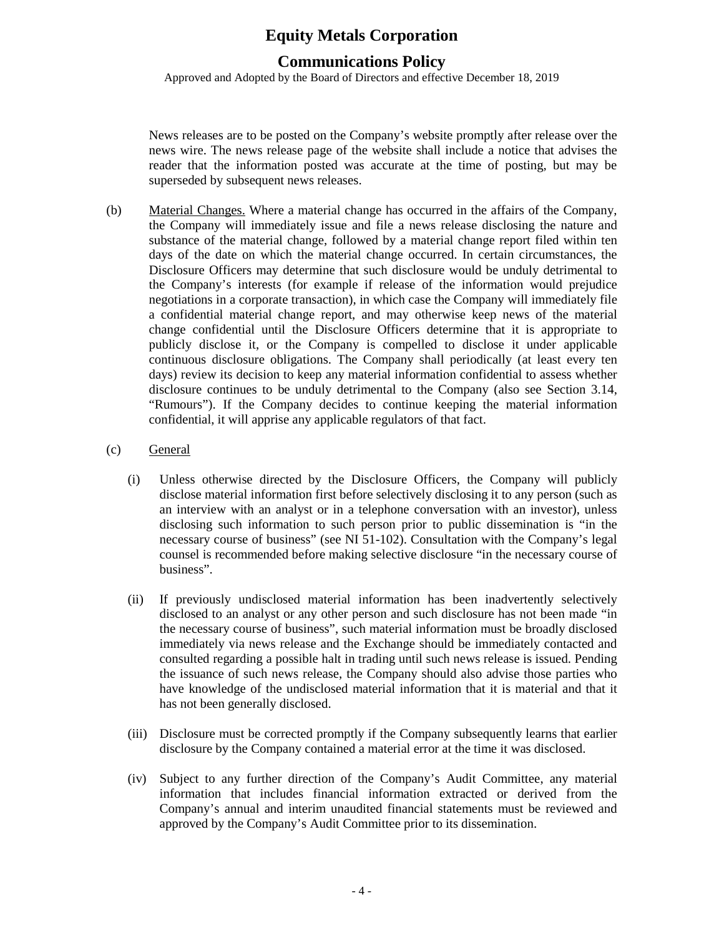## **Communications Policy**

Approved and Adopted by the Board of Directors and effective December 18, 2019

News releases are to be posted on the Company's website promptly after release over the news wire. The news release page of the website shall include a notice that advises the reader that the information posted was accurate at the time of posting, but may be superseded by subsequent news releases.

(b) Material Changes. Where a material change has occurred in the affairs of the Company, the Company will immediately issue and file a news release disclosing the nature and substance of the material change, followed by a material change report filed within ten days of the date on which the material change occurred. In certain circumstances, the Disclosure Officers may determine that such disclosure would be unduly detrimental to the Company's interests (for example if release of the information would prejudice negotiations in a corporate transaction), in which case the Company will immediately file a confidential material change report, and may otherwise keep news of the material change confidential until the Disclosure Officers determine that it is appropriate to publicly disclose it, or the Company is compelled to disclose it under applicable continuous disclosure obligations. The Company shall periodically (at least every ten days) review its decision to keep any material information confidential to assess whether disclosure continues to be unduly detrimental to the Company (also see Section 3.14, "Rumours"). If the Company decides to continue keeping the material information confidential, it will apprise any applicable regulators of that fact.

#### (c) General

- (i) Unless otherwise directed by the Disclosure Officers, the Company will publicly disclose material information first before selectively disclosing it to any person (such as an interview with an analyst or in a telephone conversation with an investor), unless disclosing such information to such person prior to public dissemination is "in the necessary course of business" (see NI 51-102). Consultation with the Company's legal counsel is recommended before making selective disclosure "in the necessary course of business".
- (ii) If previously undisclosed material information has been inadvertently selectively disclosed to an analyst or any other person and such disclosure has not been made "in the necessary course of business", such material information must be broadly disclosed immediately via news release and the Exchange should be immediately contacted and consulted regarding a possible halt in trading until such news release is issued. Pending the issuance of such news release, the Company should also advise those parties who have knowledge of the undisclosed material information that it is material and that it has not been generally disclosed.
- (iii) Disclosure must be corrected promptly if the Company subsequently learns that earlier disclosure by the Company contained a material error at the time it was disclosed.
- (iv) Subject to any further direction of the Company's Audit Committee, any material information that includes financial information extracted or derived from the Company's annual and interim unaudited financial statements must be reviewed and approved by the Company's Audit Committee prior to its dissemination.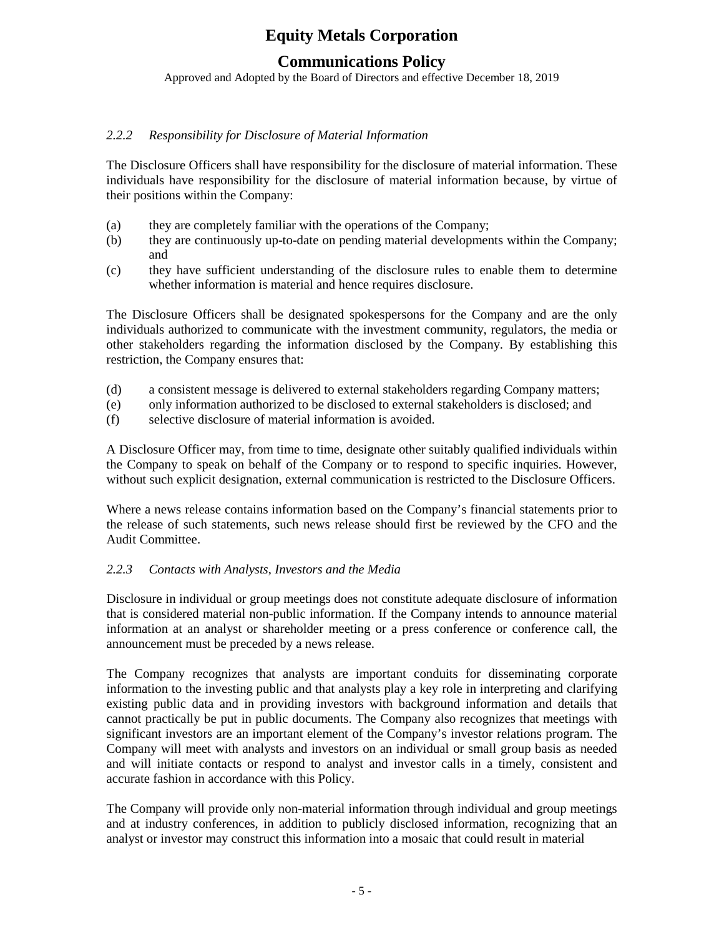## **Communications Policy**

Approved and Adopted by the Board of Directors and effective December 18, 2019

## *2.2.2 Responsibility for Disclosure of Material Information*

The Disclosure Officers shall have responsibility for the disclosure of material information. These individuals have responsibility for the disclosure of material information because, by virtue of their positions within the Company:

- (a) they are completely familiar with the operations of the Company;
- (b) they are continuously up-to-date on pending material developments within the Company; and
- (c) they have sufficient understanding of the disclosure rules to enable them to determine whether information is material and hence requires disclosure.

The Disclosure Officers shall be designated spokespersons for the Company and are the only individuals authorized to communicate with the investment community, regulators, the media or other stakeholders regarding the information disclosed by the Company. By establishing this restriction, the Company ensures that:

- (d) a consistent message is delivered to external stakeholders regarding Company matters;
- (e) only information authorized to be disclosed to external stakeholders is disclosed; and
- (f) selective disclosure of material information is avoided.

A Disclosure Officer may, from time to time, designate other suitably qualified individuals within the Company to speak on behalf of the Company or to respond to specific inquiries. However, without such explicit designation, external communication is restricted to the Disclosure Officers.

Where a news release contains information based on the Company's financial statements prior to the release of such statements, such news release should first be reviewed by the CFO and the Audit Committee.

## *2.2.3 Contacts with Analysts, Investors and the Media*

Disclosure in individual or group meetings does not constitute adequate disclosure of information that is considered material non-public information. If the Company intends to announce material information at an analyst or shareholder meeting or a press conference or conference call, the announcement must be preceded by a news release.

The Company recognizes that analysts are important conduits for disseminating corporate information to the investing public and that analysts play a key role in interpreting and clarifying existing public data and in providing investors with background information and details that cannot practically be put in public documents. The Company also recognizes that meetings with significant investors are an important element of the Company's investor relations program. The Company will meet with analysts and investors on an individual or small group basis as needed and will initiate contacts or respond to analyst and investor calls in a timely, consistent and accurate fashion in accordance with this Policy.

The Company will provide only non-material information through individual and group meetings and at industry conferences, in addition to publicly disclosed information, recognizing that an analyst or investor may construct this information into a mosaic that could result in material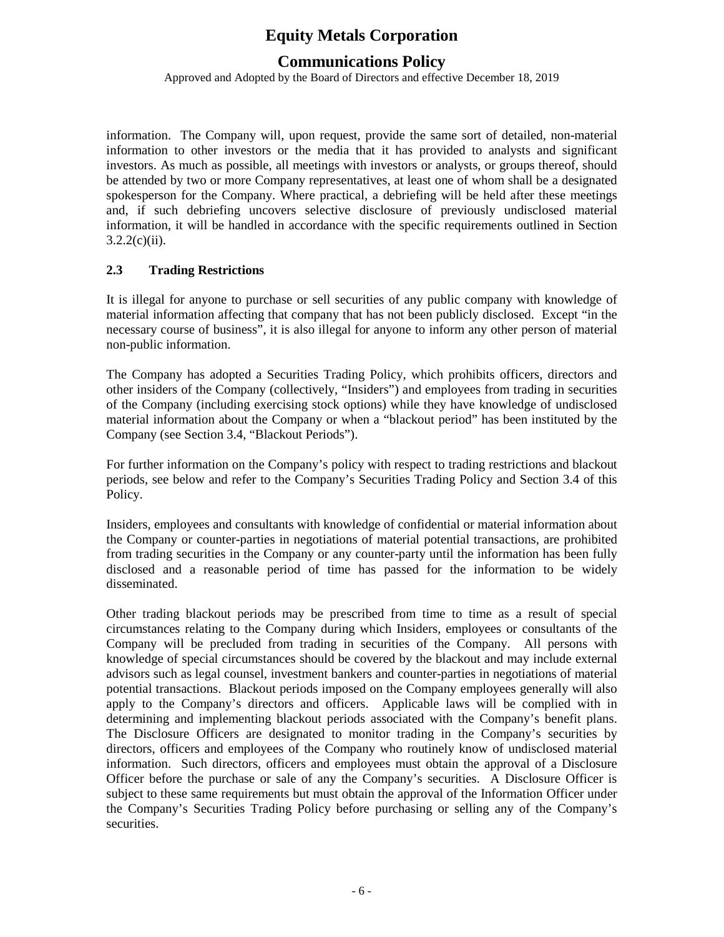## **Communications Policy**

Approved and Adopted by the Board of Directors and effective December 18, 2019

information. The Company will, upon request, provide the same sort of detailed, non-material information to other investors or the media that it has provided to analysts and significant investors. As much as possible, all meetings with investors or analysts, or groups thereof, should be attended by two or more Company representatives, at least one of whom shall be a designated spokesperson for the Company. Where practical, a debriefing will be held after these meetings and, if such debriefing uncovers selective disclosure of previously undisclosed material information, it will be handled in accordance with the specific requirements outlined in Section  $3.2.2(c)(ii)$ .

## **2.3 Trading Restrictions**

It is illegal for anyone to purchase or sell securities of any public company with knowledge of material information affecting that company that has not been publicly disclosed. Except "in the necessary course of business", it is also illegal for anyone to inform any other person of material non-public information.

The Company has adopted a Securities Trading Policy, which prohibits officers, directors and other insiders of the Company (collectively, "Insiders") and employees from trading in securities of the Company (including exercising stock options) while they have knowledge of undisclosed material information about the Company or when a "blackout period" has been instituted by the Company (see Section 3.4, "Blackout Periods").

For further information on the Company's policy with respect to trading restrictions and blackout periods, see below and refer to the Company's Securities Trading Policy and Section 3.4 of this Policy.

Insiders, employees and consultants with knowledge of confidential or material information about the Company or counter-parties in negotiations of material potential transactions, are prohibited from trading securities in the Company or any counter-party until the information has been fully disclosed and a reasonable period of time has passed for the information to be widely disseminated.

Other trading blackout periods may be prescribed from time to time as a result of special circumstances relating to the Company during which Insiders, employees or consultants of the Company will be precluded from trading in securities of the Company. All persons with knowledge of special circumstances should be covered by the blackout and may include external advisors such as legal counsel, investment bankers and counter-parties in negotiations of material potential transactions. Blackout periods imposed on the Company employees generally will also apply to the Company's directors and officers. Applicable laws will be complied with in determining and implementing blackout periods associated with the Company's benefit plans. The Disclosure Officers are designated to monitor trading in the Company's securities by directors, officers and employees of the Company who routinely know of undisclosed material information. Such directors, officers and employees must obtain the approval of a Disclosure Officer before the purchase or sale of any the Company's securities. A Disclosure Officer is subject to these same requirements but must obtain the approval of the Information Officer under the Company's Securities Trading Policy before purchasing or selling any of the Company's securities.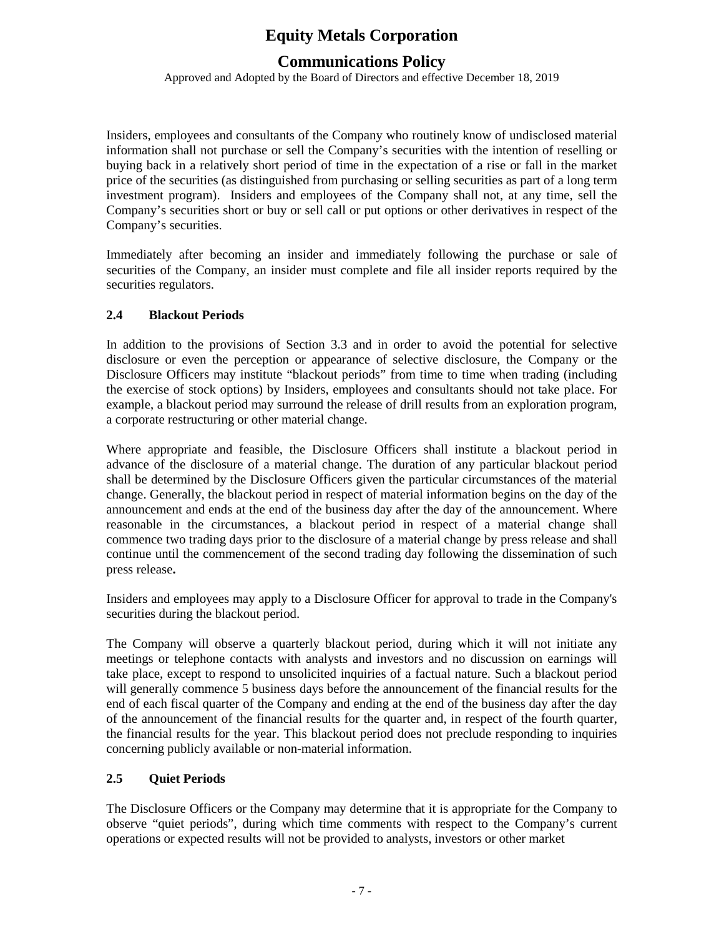## **Communications Policy**

Approved and Adopted by the Board of Directors and effective December 18, 2019

Insiders, employees and consultants of the Company who routinely know of undisclosed material information shall not purchase or sell the Company's securities with the intention of reselling or buying back in a relatively short period of time in the expectation of a rise or fall in the market price of the securities (as distinguished from purchasing or selling securities as part of a long term investment program). Insiders and employees of the Company shall not, at any time, sell the Company's securities short or buy or sell call or put options or other derivatives in respect of the Company's securities.

Immediately after becoming an insider and immediately following the purchase or sale of securities of the Company, an insider must complete and file all insider reports required by the securities regulators.

## **2.4 Blackout Periods**

In addition to the provisions of Section 3.3 and in order to avoid the potential for selective disclosure or even the perception or appearance of selective disclosure, the Company or the Disclosure Officers may institute "blackout periods" from time to time when trading (including the exercise of stock options) by Insiders, employees and consultants should not take place. For example, a blackout period may surround the release of drill results from an exploration program, a corporate restructuring or other material change.

Where appropriate and feasible, the Disclosure Officers shall institute a blackout period in advance of the disclosure of a material change. The duration of any particular blackout period shall be determined by the Disclosure Officers given the particular circumstances of the material change. Generally, the blackout period in respect of material information begins on the day of the announcement and ends at the end of the business day after the day of the announcement. Where reasonable in the circumstances, a blackout period in respect of a material change shall commence two trading days prior to the disclosure of a material change by press release and shall continue until the commencement of the second trading day following the dissemination of such press release**.**

Insiders and employees may apply to a Disclosure Officer for approval to trade in the Company's securities during the blackout period.

The Company will observe a quarterly blackout period, during which it will not initiate any meetings or telephone contacts with analysts and investors and no discussion on earnings will take place, except to respond to unsolicited inquiries of a factual nature. Such a blackout period will generally commence 5 business days before the announcement of the financial results for the end of each fiscal quarter of the Company and ending at the end of the business day after the day of the announcement of the financial results for the quarter and, in respect of the fourth quarter, the financial results for the year. This blackout period does not preclude responding to inquiries concerning publicly available or non-material information.

## **2.5 Quiet Periods**

The Disclosure Officers or the Company may determine that it is appropriate for the Company to observe "quiet periods", during which time comments with respect to the Company's current operations or expected results will not be provided to analysts, investors or other market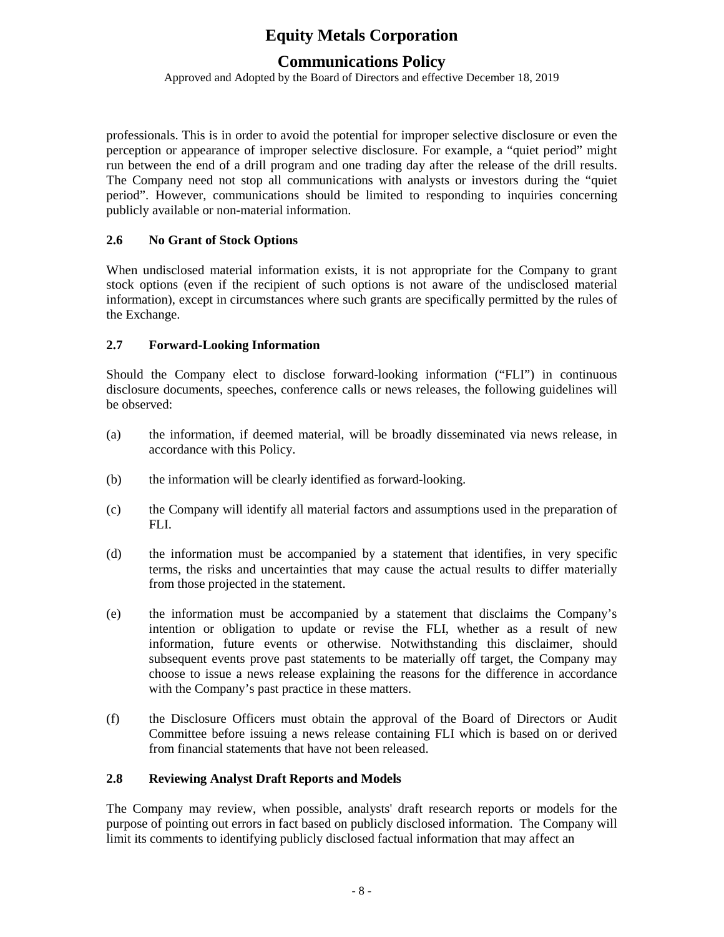## **Communications Policy**

Approved and Adopted by the Board of Directors and effective December 18, 2019

professionals. This is in order to avoid the potential for improper selective disclosure or even the perception or appearance of improper selective disclosure. For example, a "quiet period" might run between the end of a drill program and one trading day after the release of the drill results. The Company need not stop all communications with analysts or investors during the "quiet period". However, communications should be limited to responding to inquiries concerning publicly available or non-material information.

## **2.6 No Grant of Stock Options**

When undisclosed material information exists, it is not appropriate for the Company to grant stock options (even if the recipient of such options is not aware of the undisclosed material information), except in circumstances where such grants are specifically permitted by the rules of the Exchange.

## **2.7 Forward-Looking Information**

Should the Company elect to disclose forward-looking information ("FLI") in continuous disclosure documents, speeches, conference calls or news releases, the following guidelines will be observed:

- (a) the information, if deemed material, will be broadly disseminated via news release, in accordance with this Policy.
- (b) the information will be clearly identified as forward-looking.
- (c) the Company will identify all material factors and assumptions used in the preparation of FLI.
- (d) the information must be accompanied by a statement that identifies, in very specific terms, the risks and uncertainties that may cause the actual results to differ materially from those projected in the statement.
- (e) the information must be accompanied by a statement that disclaims the Company's intention or obligation to update or revise the FLI, whether as a result of new information, future events or otherwise. Notwithstanding this disclaimer, should subsequent events prove past statements to be materially off target, the Company may choose to issue a news release explaining the reasons for the difference in accordance with the Company's past practice in these matters.
- (f) the Disclosure Officers must obtain the approval of the Board of Directors or Audit Committee before issuing a news release containing FLI which is based on or derived from financial statements that have not been released.

#### **2.8 Reviewing Analyst Draft Reports and Models**

The Company may review, when possible, analysts' draft research reports or models for the purpose of pointing out errors in fact based on publicly disclosed information. The Company will limit its comments to identifying publicly disclosed factual information that may affect an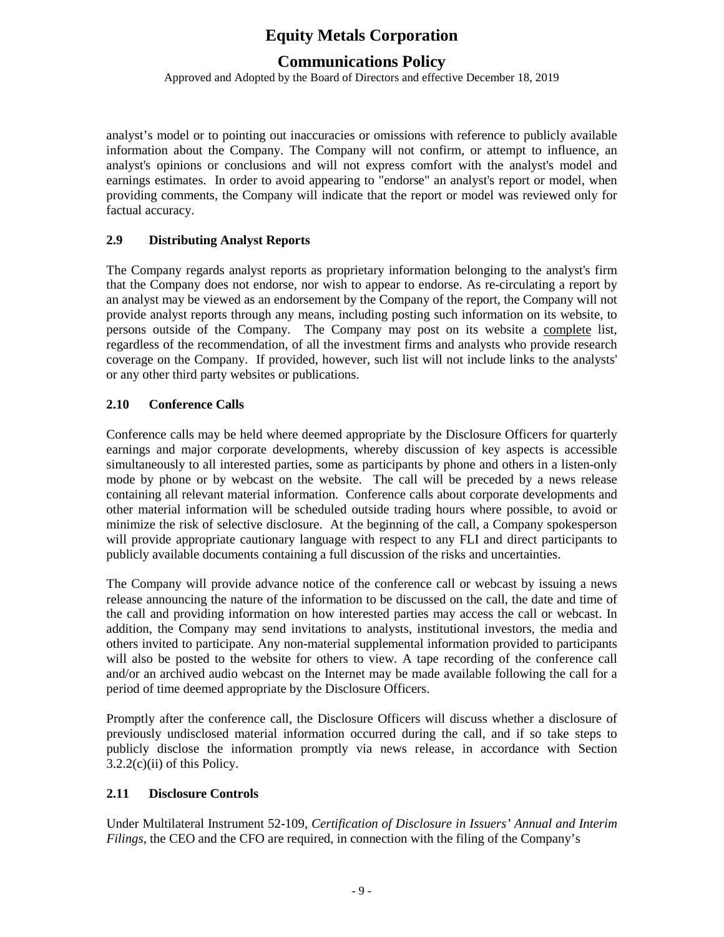## **Communications Policy**

Approved and Adopted by the Board of Directors and effective December 18, 2019

analyst's model or to pointing out inaccuracies or omissions with reference to publicly available information about the Company. The Company will not confirm, or attempt to influence, an analyst's opinions or conclusions and will not express comfort with the analyst's model and earnings estimates. In order to avoid appearing to "endorse" an analyst's report or model, when providing comments, the Company will indicate that the report or model was reviewed only for factual accuracy.

## **2.9 Distributing Analyst Reports**

The Company regards analyst reports as proprietary information belonging to the analyst's firm that the Company does not endorse, nor wish to appear to endorse. As re-circulating a report by an analyst may be viewed as an endorsement by the Company of the report, the Company will not provide analyst reports through any means, including posting such information on its website, to persons outside of the Company. The Company may post on its website a complete list, regardless of the recommendation, of all the investment firms and analysts who provide research coverage on the Company. If provided, however, such list will not include links to the analysts' or any other third party websites or publications.

## **2.10 Conference Calls**

Conference calls may be held where deemed appropriate by the Disclosure Officers for quarterly earnings and major corporate developments, whereby discussion of key aspects is accessible simultaneously to all interested parties, some as participants by phone and others in a listen-only mode by phone or by webcast on the website. The call will be preceded by a news release containing all relevant material information. Conference calls about corporate developments and other material information will be scheduled outside trading hours where possible, to avoid or minimize the risk of selective disclosure. At the beginning of the call, a Company spokesperson will provide appropriate cautionary language with respect to any FLI and direct participants to publicly available documents containing a full discussion of the risks and uncertainties.

The Company will provide advance notice of the conference call or webcast by issuing a news release announcing the nature of the information to be discussed on the call, the date and time of the call and providing information on how interested parties may access the call or webcast. In addition, the Company may send invitations to analysts, institutional investors, the media and others invited to participate. Any non-material supplemental information provided to participants will also be posted to the website for others to view. A tape recording of the conference call and/or an archived audio webcast on the Internet may be made available following the call for a period of time deemed appropriate by the Disclosure Officers.

Promptly after the conference call, the Disclosure Officers will discuss whether a disclosure of previously undisclosed material information occurred during the call, and if so take steps to publicly disclose the information promptly via news release, in accordance with Section  $3.2.2(c)(ii)$  of this Policy.

## **2.11 Disclosure Controls**

Under Multilateral Instrument 52-109, *Certification of Disclosure in Issuers' Annual and Interim Filings*, the CEO and the CFO are required, in connection with the filing of the Company's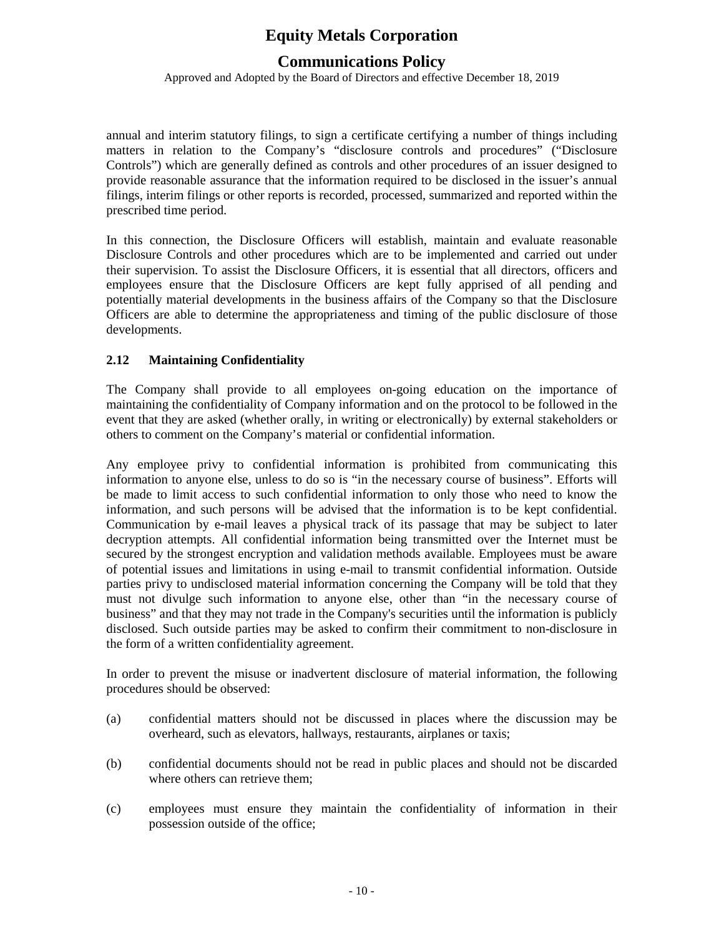## **Communications Policy**

Approved and Adopted by the Board of Directors and effective December 18, 2019

annual and interim statutory filings, to sign a certificate certifying a number of things including matters in relation to the Company's "disclosure controls and procedures" ("Disclosure Controls") which are generally defined as controls and other procedures of an issuer designed to provide reasonable assurance that the information required to be disclosed in the issuer's annual filings, interim filings or other reports is recorded, processed, summarized and reported within the prescribed time period.

In this connection, the Disclosure Officers will establish, maintain and evaluate reasonable Disclosure Controls and other procedures which are to be implemented and carried out under their supervision. To assist the Disclosure Officers, it is essential that all directors, officers and employees ensure that the Disclosure Officers are kept fully apprised of all pending and potentially material developments in the business affairs of the Company so that the Disclosure Officers are able to determine the appropriateness and timing of the public disclosure of those developments.

## **2.12 Maintaining Confidentiality**

The Company shall provide to all employees on-going education on the importance of maintaining the confidentiality of Company information and on the protocol to be followed in the event that they are asked (whether orally, in writing or electronically) by external stakeholders or others to comment on the Company's material or confidential information.

Any employee privy to confidential information is prohibited from communicating this information to anyone else, unless to do so is "in the necessary course of business". Efforts will be made to limit access to such confidential information to only those who need to know the information, and such persons will be advised that the information is to be kept confidential. Communication by e-mail leaves a physical track of its passage that may be subject to later decryption attempts. All confidential information being transmitted over the Internet must be secured by the strongest encryption and validation methods available. Employees must be aware of potential issues and limitations in using e-mail to transmit confidential information. Outside parties privy to undisclosed material information concerning the Company will be told that they must not divulge such information to anyone else, other than "in the necessary course of business" and that they may not trade in the Company's securities until the information is publicly disclosed. Such outside parties may be asked to confirm their commitment to non-disclosure in the form of a written confidentiality agreement.

In order to prevent the misuse or inadvertent disclosure of material information, the following procedures should be observed:

- (a) confidential matters should not be discussed in places where the discussion may be overheard, such as elevators, hallways, restaurants, airplanes or taxis;
- (b) confidential documents should not be read in public places and should not be discarded where others can retrieve them;
- (c) employees must ensure they maintain the confidentiality of information in their possession outside of the office;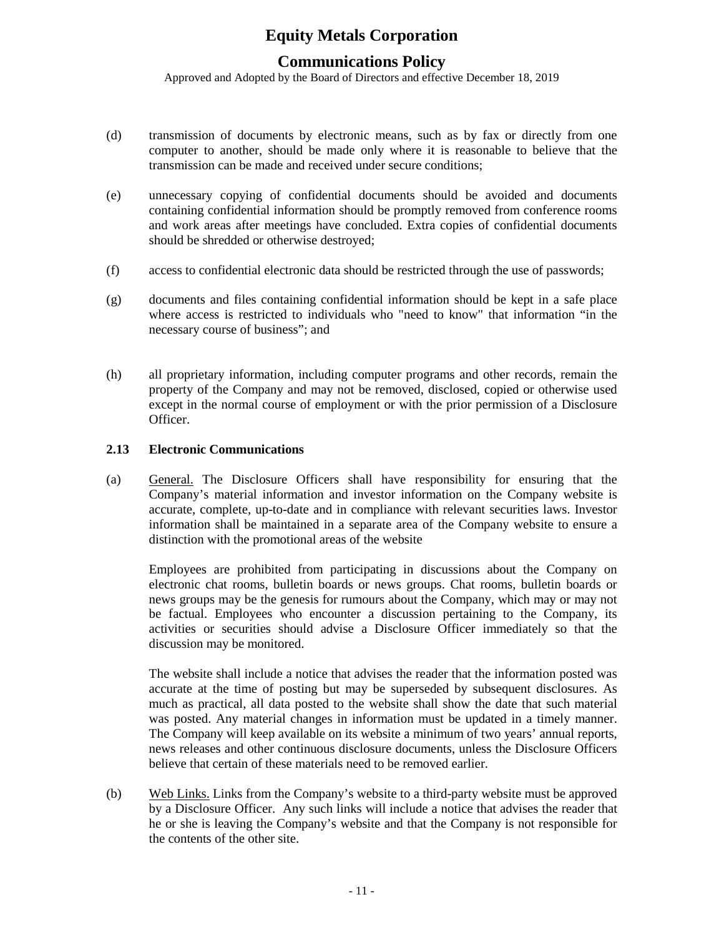## **Communications Policy**

Approved and Adopted by the Board of Directors and effective December 18, 2019

- (d) transmission of documents by electronic means, such as by fax or directly from one computer to another, should be made only where it is reasonable to believe that the transmission can be made and received under secure conditions;
- (e) unnecessary copying of confidential documents should be avoided and documents containing confidential information should be promptly removed from conference rooms and work areas after meetings have concluded. Extra copies of confidential documents should be shredded or otherwise destroyed;
- (f) access to confidential electronic data should be restricted through the use of passwords;
- (g) documents and files containing confidential information should be kept in a safe place where access is restricted to individuals who "need to know" that information "in the necessary course of business"; and
- (h) all proprietary information, including computer programs and other records, remain the property of the Company and may not be removed, disclosed, copied or otherwise used except in the normal course of employment or with the prior permission of a Disclosure Officer.

#### **2.13 Electronic Communications**

(a) General. The Disclosure Officers shall have responsibility for ensuring that the Company's material information and investor information on the Company website is accurate, complete, up-to-date and in compliance with relevant securities laws. Investor information shall be maintained in a separate area of the Company website to ensure a distinction with the promotional areas of the website

Employees are prohibited from participating in discussions about the Company on electronic chat rooms, bulletin boards or news groups. Chat rooms, bulletin boards or news groups may be the genesis for rumours about the Company, which may or may not be factual. Employees who encounter a discussion pertaining to the Company, its activities or securities should advise a Disclosure Officer immediately so that the discussion may be monitored.

The website shall include a notice that advises the reader that the information posted was accurate at the time of posting but may be superseded by subsequent disclosures. As much as practical, all data posted to the website shall show the date that such material was posted. Any material changes in information must be updated in a timely manner. The Company will keep available on its website a minimum of two years' annual reports, news releases and other continuous disclosure documents, unless the Disclosure Officers believe that certain of these materials need to be removed earlier.

(b) Web Links. Links from the Company's website to a third-party website must be approved by a Disclosure Officer. Any such links will include a notice that advises the reader that he or she is leaving the Company's website and that the Company is not responsible for the contents of the other site.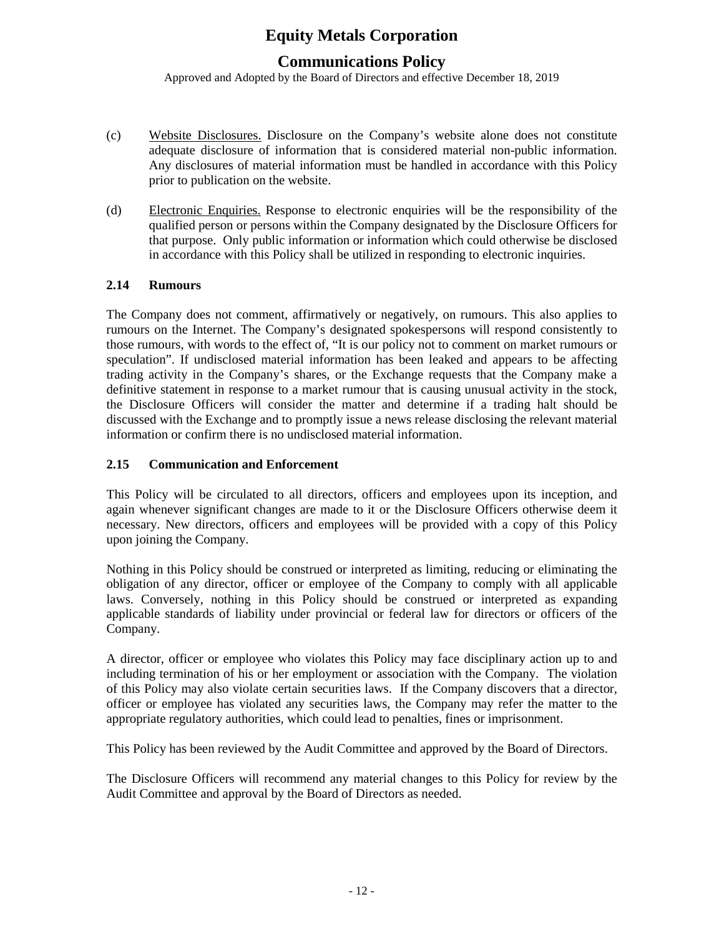## **Communications Policy**

Approved and Adopted by the Board of Directors and effective December 18, 2019

- (c) Website Disclosures. Disclosure on the Company's website alone does not constitute adequate disclosure of information that is considered material non-public information. Any disclosures of material information must be handled in accordance with this Policy prior to publication on the website.
- (d) Electronic Enquiries. Response to electronic enquiries will be the responsibility of the qualified person or persons within the Company designated by the Disclosure Officers for that purpose. Only public information or information which could otherwise be disclosed in accordance with this Policy shall be utilized in responding to electronic inquiries.

## **2.14 Rumours**

The Company does not comment, affirmatively or negatively, on rumours. This also applies to rumours on the Internet. The Company's designated spokespersons will respond consistently to those rumours, with words to the effect of, "It is our policy not to comment on market rumours or speculation". If undisclosed material information has been leaked and appears to be affecting trading activity in the Company's shares, or the Exchange requests that the Company make a definitive statement in response to a market rumour that is causing unusual activity in the stock, the Disclosure Officers will consider the matter and determine if a trading halt should be discussed with the Exchange and to promptly issue a news release disclosing the relevant material information or confirm there is no undisclosed material information.

## **2.15 Communication and Enforcement**

This Policy will be circulated to all directors, officers and employees upon its inception, and again whenever significant changes are made to it or the Disclosure Officers otherwise deem it necessary. New directors, officers and employees will be provided with a copy of this Policy upon joining the Company.

Nothing in this Policy should be construed or interpreted as limiting, reducing or eliminating the obligation of any director, officer or employee of the Company to comply with all applicable laws. Conversely, nothing in this Policy should be construed or interpreted as expanding applicable standards of liability under provincial or federal law for directors or officers of the Company.

A director, officer or employee who violates this Policy may face disciplinary action up to and including termination of his or her employment or association with the Company. The violation of this Policy may also violate certain securities laws. If the Company discovers that a director, officer or employee has violated any securities laws, the Company may refer the matter to the appropriate regulatory authorities, which could lead to penalties, fines or imprisonment.

This Policy has been reviewed by the Audit Committee and approved by the Board of Directors.

The Disclosure Officers will recommend any material changes to this Policy for review by the Audit Committee and approval by the Board of Directors as needed.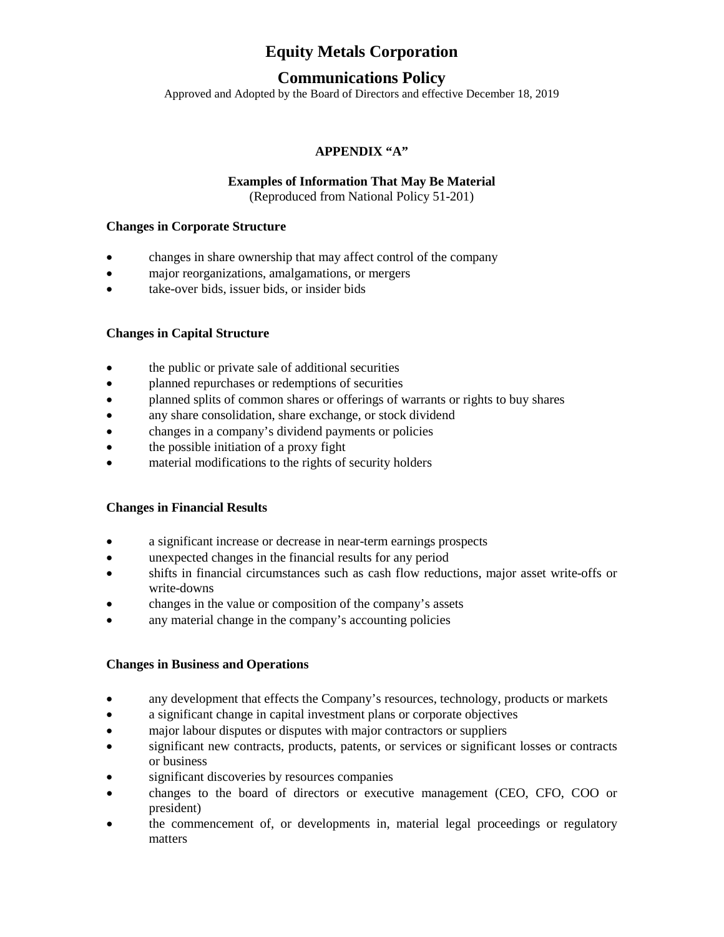## **Communications Policy**

Approved and Adopted by the Board of Directors and effective December 18, 2019

## **APPENDIX "A"**

#### **Examples of Information That May Be Material**

(Reproduced from National Policy 51-201)

#### **Changes in Corporate Structure**

- changes in share ownership that may affect control of the company
- major reorganizations, amalgamations, or mergers
- take-over bids, issuer bids, or insider bids

#### **Changes in Capital Structure**

- the public or private sale of additional securities
- planned repurchases or redemptions of securities
- planned splits of common shares or offerings of warrants or rights to buy shares
- any share consolidation, share exchange, or stock dividend
- changes in a company's dividend payments or policies
- the possible initiation of a proxy fight
- material modifications to the rights of security holders

#### **Changes in Financial Results**

- a significant increase or decrease in near-term earnings prospects
- unexpected changes in the financial results for any period
- shifts in financial circumstances such as cash flow reductions, major asset write-offs or write-downs
- changes in the value or composition of the company's assets
- any material change in the company's accounting policies

#### **Changes in Business and Operations**

- any development that effects the Company's resources, technology, products or markets
- a significant change in capital investment plans or corporate objectives
- major labour disputes or disputes with major contractors or suppliers
- significant new contracts, products, patents, or services or significant losses or contracts or business
- significant discoveries by resources companies
- changes to the board of directors or executive management (CEO, CFO, COO or president)
- the commencement of, or developments in, material legal proceedings or regulatory matters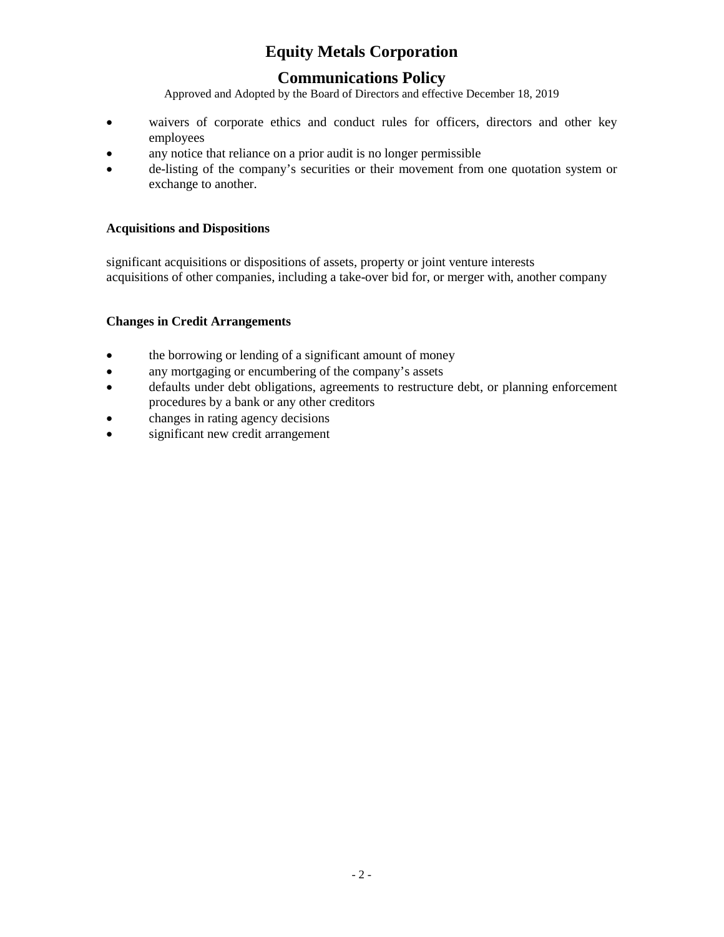# **Communications Policy**

Approved and Adopted by the Board of Directors and effective December 18, 2019

- waivers of corporate ethics and conduct rules for officers, directors and other key employees
- any notice that reliance on a prior audit is no longer permissible
- de-listing of the company's securities or their movement from one quotation system or exchange to another.

## **Acquisitions and Dispositions**

significant acquisitions or dispositions of assets, property or joint venture interests acquisitions of other companies, including a take-over bid for, or merger with, another company

## **Changes in Credit Arrangements**

- the borrowing or lending of a significant amount of money
- any mortgaging or encumbering of the company's assets
- defaults under debt obligations, agreements to restructure debt, or planning enforcement procedures by a bank or any other creditors
- changes in rating agency decisions
- significant new credit arrangement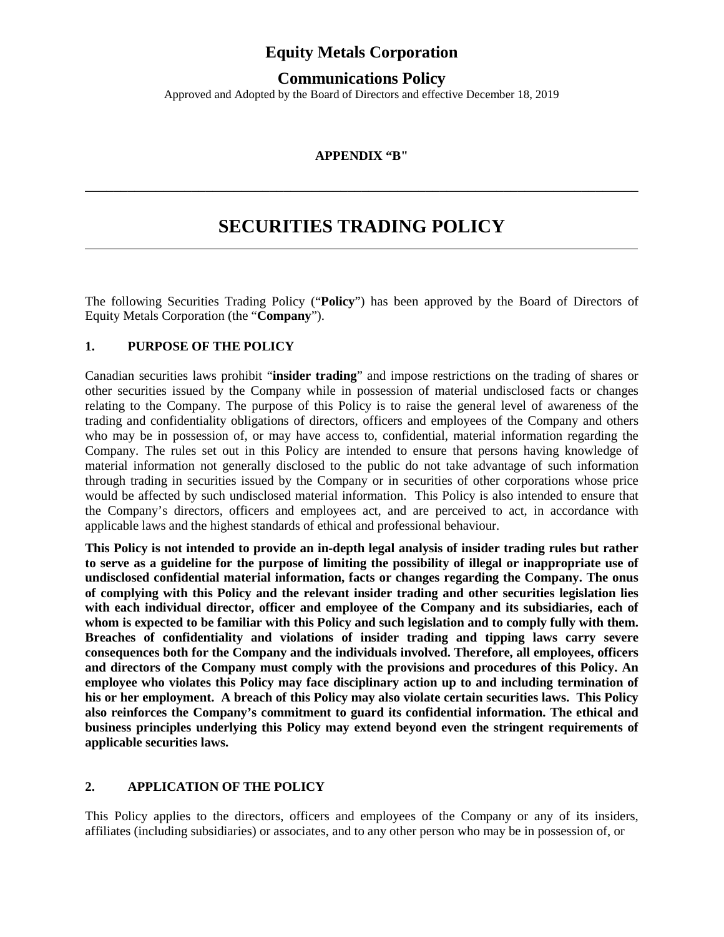## **Communications Policy**

Approved and Adopted by the Board of Directors and effective December 18, 2019

#### **APPENDIX "B"**

\_\_\_\_\_\_\_\_\_\_\_\_\_\_\_\_\_\_\_\_\_\_\_\_\_\_\_\_\_\_\_\_\_\_\_\_\_\_\_\_\_\_\_\_\_\_\_\_\_\_\_\_\_\_\_\_\_\_\_\_\_\_\_\_\_\_\_\_\_\_\_\_\_\_\_\_\_\_

# **SECURITIES TRADING POLICY**

The following Securities Trading Policy ("**Policy**") has been approved by the Board of Directors of Equity Metals Corporation (the "**Company**").

#### **1. PURPOSE OF THE POLICY**

Canadian securities laws prohibit "**insider trading**" and impose restrictions on the trading of shares or other securities issued by the Company while in possession of material undisclosed facts or changes relating to the Company. The purpose of this Policy is to raise the general level of awareness of the trading and confidentiality obligations of directors, officers and employees of the Company and others who may be in possession of, or may have access to, confidential, material information regarding the Company. The rules set out in this Policy are intended to ensure that persons having knowledge of material information not generally disclosed to the public do not take advantage of such information through trading in securities issued by the Company or in securities of other corporations whose price would be affected by such undisclosed material information. This Policy is also intended to ensure that the Company's directors, officers and employees act, and are perceived to act, in accordance with applicable laws and the highest standards of ethical and professional behaviour.

**This Policy is not intended to provide an in-depth legal analysis of insider trading rules but rather to serve as a guideline for the purpose of limiting the possibility of illegal or inappropriate use of undisclosed confidential material information, facts or changes regarding the Company. The onus of complying with this Policy and the relevant insider trading and other securities legislation lies with each individual director, officer and employee of the Company and its subsidiaries, each of whom is expected to be familiar with this Policy and such legislation and to comply fully with them. Breaches of confidentiality and violations of insider trading and tipping laws carry severe consequences both for the Company and the individuals involved. Therefore, all employees, officers and directors of the Company must comply with the provisions and procedures of this Policy. An employee who violates this Policy may face disciplinary action up to and including termination of his or her employment. A breach of this Policy may also violate certain securities laws. This Policy also reinforces the Company's commitment to guard its confidential information. The ethical and business principles underlying this Policy may extend beyond even the stringent requirements of applicable securities laws.**

#### **2. APPLICATION OF THE POLICY**

This Policy applies to the directors, officers and employees of the Company or any of its insiders, affiliates (including subsidiaries) or associates, and to any other person who may be in possession of, or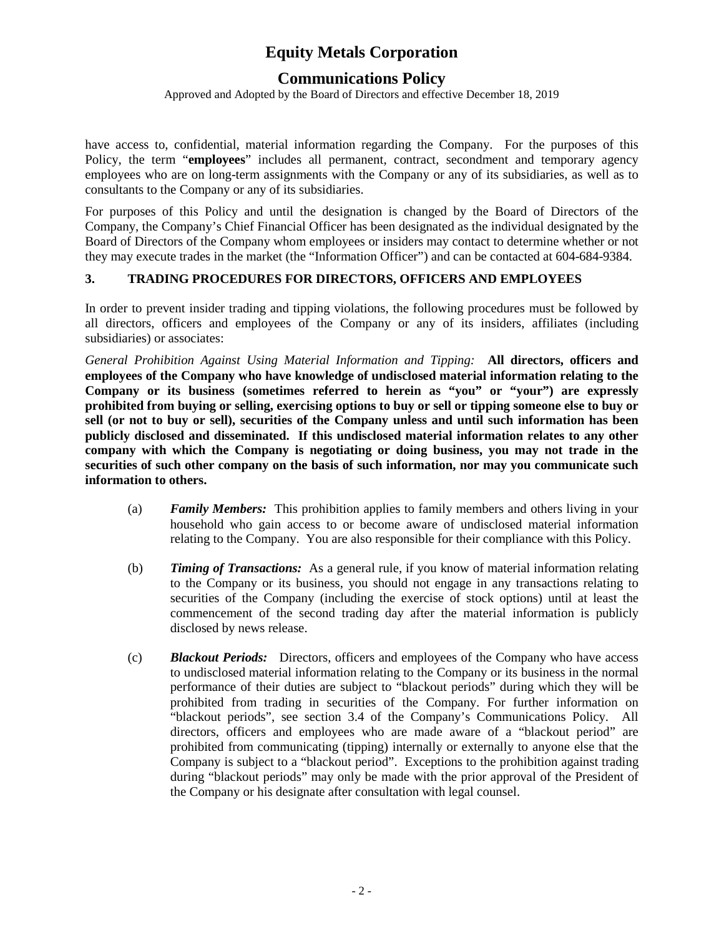## **Communications Policy**

Approved and Adopted by the Board of Directors and effective December 18, 2019

have access to, confidential, material information regarding the Company. For the purposes of this Policy, the term "**employees**" includes all permanent, contract, secondment and temporary agency employees who are on long-term assignments with the Company or any of its subsidiaries, as well as to consultants to the Company or any of its subsidiaries.

For purposes of this Policy and until the designation is changed by the Board of Directors of the Company, the Company's Chief Financial Officer has been designated as the individual designated by the Board of Directors of the Company whom employees or insiders may contact to determine whether or not they may execute trades in the market (the "Information Officer") and can be contacted at 604-684-9384.

## **3. TRADING PROCEDURES FOR DIRECTORS, OFFICERS AND EMPLOYEES**

In order to prevent insider trading and tipping violations, the following procedures must be followed by all directors, officers and employees of the Company or any of its insiders, affiliates (including subsidiaries) or associates:

*General Prohibition Against Using Material Information and Tipping:* **All directors, officers and employees of the Company who have knowledge of undisclosed material information relating to the Company or its business (sometimes referred to herein as "you" or "your") are expressly prohibited from buying or selling, exercising options to buy or sell or tipping someone else to buy or sell (or not to buy or sell), securities of the Company unless and until such information has been publicly disclosed and disseminated. If this undisclosed material information relates to any other company with which the Company is negotiating or doing business, you may not trade in the securities of such other company on the basis of such information, nor may you communicate such information to others.**

- (a) *Family Members:* This prohibition applies to family members and others living in your household who gain access to or become aware of undisclosed material information relating to the Company. You are also responsible for their compliance with this Policy.
- (b) *Timing of Transactions:* As a general rule, if you know of material information relating to the Company or its business, you should not engage in any transactions relating to securities of the Company (including the exercise of stock options) until at least the commencement of the second trading day after the material information is publicly disclosed by news release.
- (c) *Blackout Periods:* Directors, officers and employees of the Company who have access to undisclosed material information relating to the Company or its business in the normal performance of their duties are subject to "blackout periods" during which they will be prohibited from trading in securities of the Company. For further information on "blackout periods", see section 3.4 of the Company's Communications Policy. All directors, officers and employees who are made aware of a "blackout period" are prohibited from communicating (tipping) internally or externally to anyone else that the Company is subject to a "blackout period". Exceptions to the prohibition against trading during "blackout periods" may only be made with the prior approval of the President of the Company or his designate after consultation with legal counsel.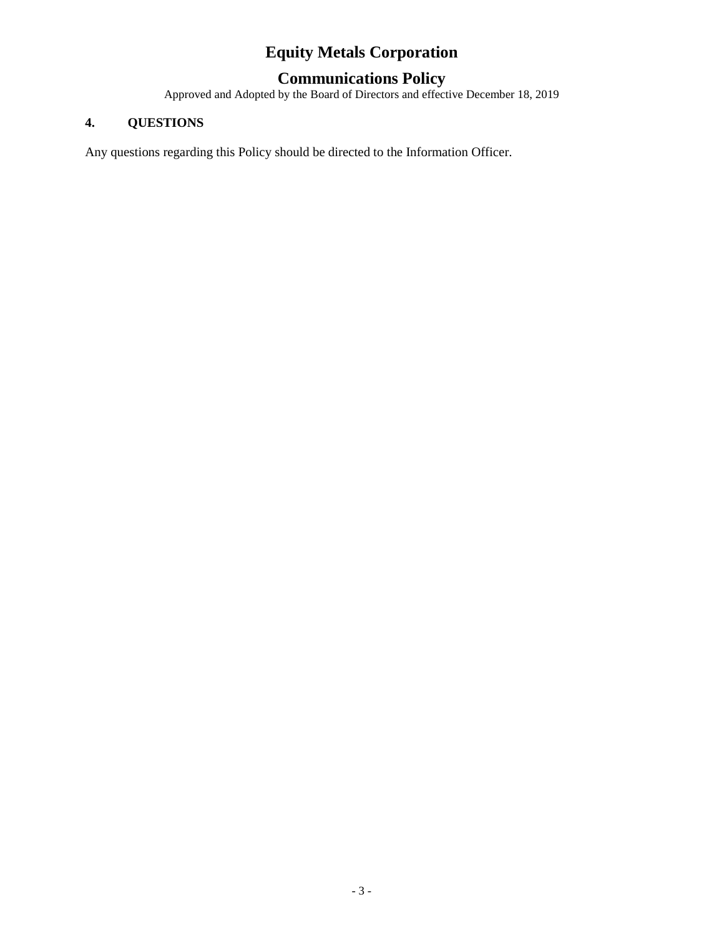## **Communications Policy**

Approved and Adopted by the Board of Directors and effective December 18, 2019

## **4. QUESTIONS**

Any questions regarding this Policy should be directed to the Information Officer.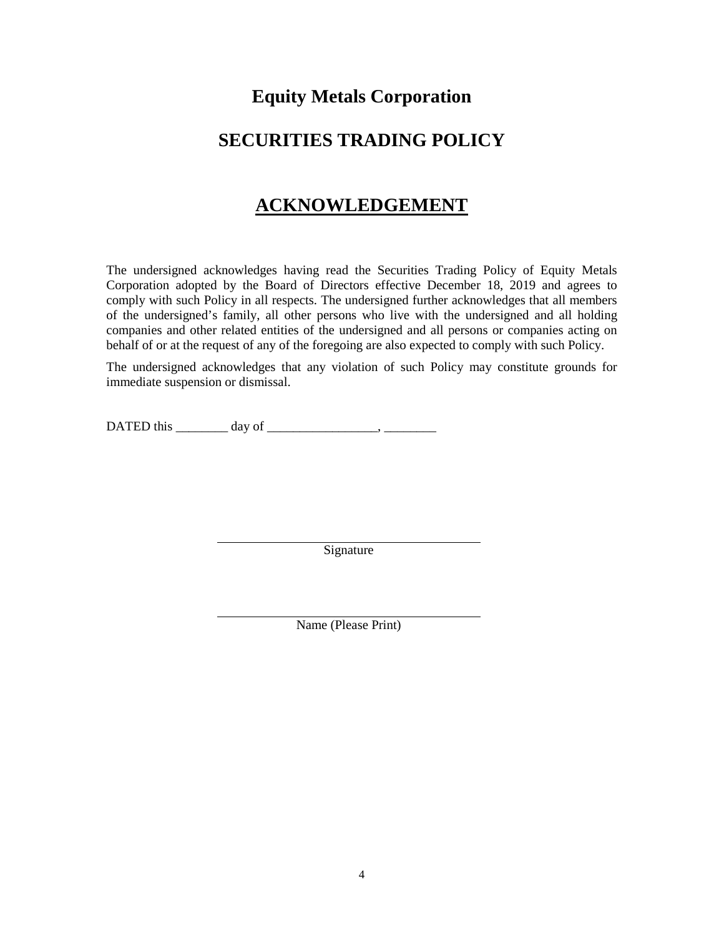# **SECURITIES TRADING POLICY**

# **ACKNOWLEDGEMENT**

The undersigned acknowledges having read the Securities Trading Policy of Equity Metals Corporation adopted by the Board of Directors effective December 18, 2019 and agrees to comply with such Policy in all respects. The undersigned further acknowledges that all members of the undersigned's family, all other persons who live with the undersigned and all holding companies and other related entities of the undersigned and all persons or companies acting on behalf of or at the request of any of the foregoing are also expected to comply with such Policy.

The undersigned acknowledges that any violation of such Policy may constitute grounds for immediate suspension or dismissal.

DATED this  $\_\_\_\_\_\_\_\_\$  day of  $\_\_\_\_\_\_\_\_\_\_\_\_\_\_\_\_\_\_$ 

Signature

Name (Please Print)